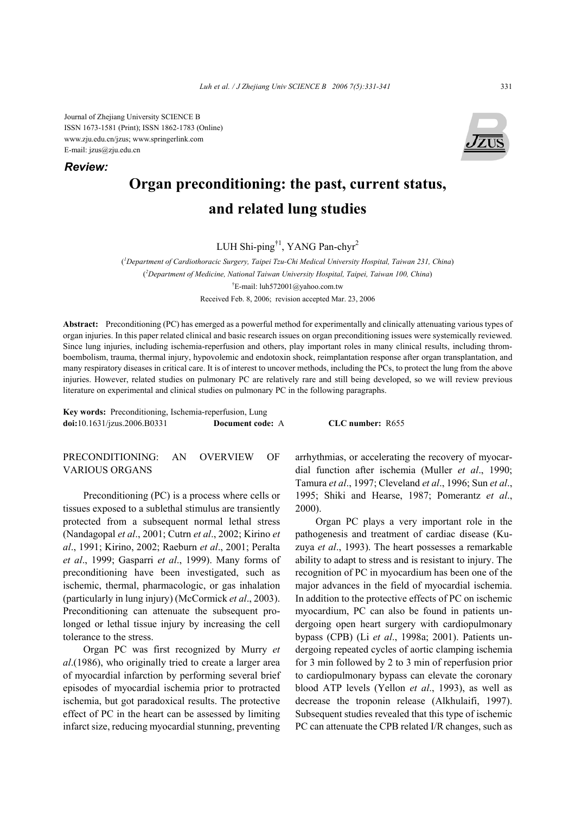Journal of Zhejiang University SCIENCE B ISSN 1673-1581 (Print); ISSN 1862-1783 (Online) www.zju.edu.cn/jzus; www.springerlink.com E-mail: jzus@zju.edu.cn

*Review:*



# **Organ preconditioning: the past, current status, and related lung studies**

LUH Shi-ping<sup>†1</sup>, YANG Pan-chyr<sup>2</sup>

( *1 Department of Cardiothoracic Surgery, Taipei Tzu-Chi Medical University Hospital, Taiwan 231, China*) ( *2 Department of Medicine, National Taiwan University Hospital, Taipei, Taiwan 100, China*) † E-mail: luh572001@yahoo.com.tw Received Feb. 8, 2006; revision accepted Mar. 23, 2006

**Abstract:** Preconditioning (PC) has emerged as a powerful method for experimentally and clinically attenuating various types of organ injuries. In this paper related clinical and basic research issues on organ preconditioning issues were systemically reviewed. Since lung injuries, including ischemia-reperfusion and others, play important roles in many clinical results, including thromboembolism, trauma, thermal injury, hypovolemic and endotoxin shock, reimplantation response after organ transplantation, and many respiratory diseases in critical care. It is of interest to uncover methods, including the PCs, to protect the lung from the above injuries. However, related studies on pulmonary PC are relatively rare and still being developed, so we will review previous literature on experimental and clinical studies on pulmonary PC in the following paragraphs.

**Key words:** Preconditioning, Ischemia-reperfusion, Lung **doi:**10.1631/jzus.2006.B0331 **Document code:** A **CLC number:** R655

PRECONDITIONING: AN OVERVIEW OF VARIOUS ORGANS

Preconditioning (PC) is a process where cells or tissues exposed to a sublethal stimulus are transiently protected from a subsequent normal lethal stress (Nandagopal *et al*., 2001; Cutrn *et al*., 2002; Kirino *et al*., 1991; Kirino, 2002; Raeburn *et al*., 2001; Peralta *et al*., 1999; Gasparri *et al*., 1999). Many forms of preconditioning have been investigated, such as ischemic, thermal, pharmacologic, or gas inhalation (particularly in lung injury) (McCormick *et al*., 2003). Preconditioning can attenuate the subsequent prolonged or lethal tissue injury by increasing the cell tolerance to the stress.

Organ PC was first recognized by Murry *et al*.(1986), who originally tried to create a larger area of myocardial infarction by performing several brief episodes of myocardial ischemia prior to protracted ischemia, but got paradoxical results. The protective effect of PC in the heart can be assessed by limiting infarct size, reducing myocardial stunning, preventing arrhythmias, or accelerating the recovery of myocardial function after ischemia (Muller *et al*., 1990; Tamura *et al*., 1997; Cleveland *et al*., 1996; Sun *et al*., 1995; Shiki and Hearse, 1987; Pomerantz *et al*., 2000).

Organ PC plays a very important role in the pathogenesis and treatment of cardiac disease (Kuzuya *et al*., 1993). The heart possesses a remarkable ability to adapt to stress and is resistant to injury. The recognition of PC in myocardium has been one of the major advances in the field of myocardial ischemia. In addition to the protective effects of PC on ischemic myocardium, PC can also be found in patients undergoing open heart surgery with cardiopulmonary bypass (CPB) (Li *et al*., 1998a; 2001). Patients undergoing repeated cycles of aortic clamping ischemia for 3 min followed by 2 to 3 min of reperfusion prior to cardiopulmonary bypass can elevate the coronary blood ATP levels (Yellon *et al*., 1993), as well as decrease the troponin release (Alkhulaifi, 1997). Subsequent studies revealed that this type of ischemic PC can attenuate the CPB related I/R changes, such as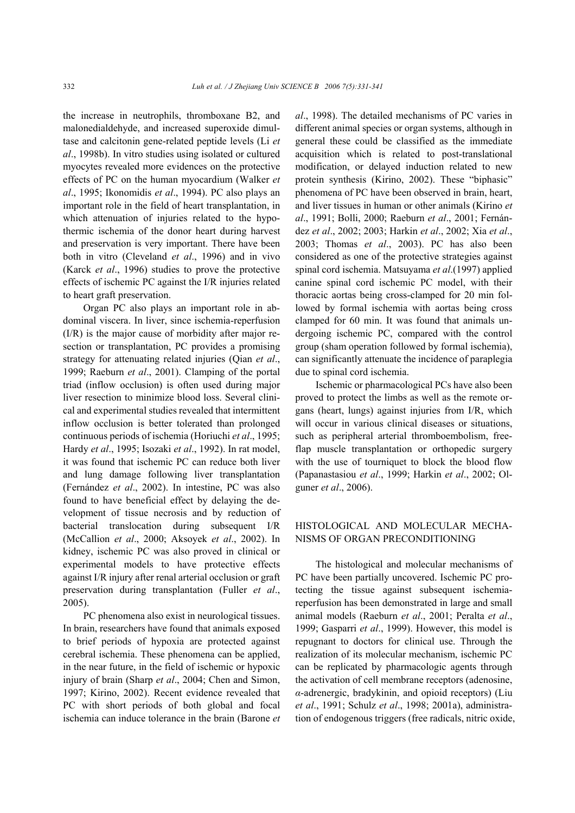the increase in neutrophils, thromboxane B2, and malonedialdehyde, and increased superoxide dimultase and calcitonin gene-related peptide levels (Li *et al*., 1998b). In vitro studies using isolated or cultured myocytes revealed more evidences on the protective effects of PC on the human myocardium (Walker *et al*., 1995; Ikonomidis *et al*., 1994). PC also plays an important role in the field of heart transplantation, in which attenuation of injuries related to the hypothermic ischemia of the donor heart during harvest and preservation is very important. There have been both in vitro (Cleveland *et al*., 1996) and in vivo (Karck *et al*., 1996) studies to prove the protective effects of ischemic PC against the I/R injuries related to heart graft preservation.

Organ PC also plays an important role in abdominal viscera. In liver, since ischemia-reperfusion (I/R) is the major cause of morbidity after major resection or transplantation, PC provides a promising strategy for attenuating related injuries (Qian *et al*., 1999; Raeburn *et al*., 2001). Clamping of the portal triad (inflow occlusion) is often used during major liver resection to minimize blood loss. Several clinical and experimental studies revealed that intermittent inflow occlusion is better tolerated than prolonged continuous periods of ischemia (Horiuchi *et al*., 1995; Hardy *et al*., 1995; Isozaki *et al*., 1992). In rat model, it was found that ischemic PC can reduce both liver and lung damage following liver transplantation (Fernández *et al*., 2002). In intestine, PC was also found to have beneficial effect by delaying the development of tissue necrosis and by reduction of bacterial translocation during subsequent I/R (McCallion *et al*., 2000; Aksoyek *et al*., 2002). In kidney, ischemic PC was also proved in clinical or experimental models to have protective effects against I/R injury after renal arterial occlusion or graft preservation during transplantation (Fuller *et al*., 2005).

PC phenomena also exist in neurological tissues. In brain, researchers have found that animals exposed to brief periods of hypoxia are protected against cerebral ischemia. These phenomena can be applied, in the near future, in the field of ischemic or hypoxic injury of brain (Sharp *et al*., 2004; Chen and Simon, 1997; Kirino, 2002). Recent evidence revealed that PC with short periods of both global and focal ischemia can induce tolerance in the brain (Barone *et*  *al*., 1998). The detailed mechanisms of PC varies in different animal species or organ systems, although in general these could be classified as the immediate acquisition which is related to post-translational modification, or delayed induction related to new protein synthesis (Kirino, 2002). These "biphasic" phenomena of PC have been observed in brain, heart, and liver tissues in human or other animals (Kirino *et al*., 1991; Bolli, 2000; Raeburn *et al*., 2001; Fernández *et al*., 2002; 2003; Harkin *et al*., 2002; Xia *et al*., 2003; Thomas *et al*., 2003). PC has also been considered as one of the protective strategies against spinal cord ischemia. Matsuyama *et al*.(1997) applied canine spinal cord ischemic PC model, with their thoracic aortas being cross-clamped for 20 min followed by formal ischemia with aortas being cross clamped for 60 min. It was found that animals undergoing ischemic PC, compared with the control group (sham operation followed by formal ischemia), can significantly attenuate the incidence of paraplegia due to spinal cord ischemia.

Ischemic or pharmacological PCs have also been proved to protect the limbs as well as the remote organs (heart, lungs) against injuries from I/R, which will occur in various clinical diseases or situations, such as peripheral arterial thromboembolism, freeflap muscle transplantation or orthopedic surgery with the use of tourniquet to block the blood flow (Papanastasiou *et al*., 1999; Harkin *et al*., 2002; Olguner *et al*., 2006).

## HISTOLOGICAL AND MOLECULAR MECHA-NISMS OF ORGAN PRECONDITIONING

The histological and molecular mechanisms of PC have been partially uncovered. Ischemic PC protecting the tissue against subsequent ischemiareperfusion has been demonstrated in large and small animal models (Raeburn *et al*., 2001; Peralta *et al*., 1999; Gasparri *et al*., 1999). However, this model is repugnant to doctors for clinical use. Through the realization of its molecular mechanism, ischemic PC can be replicated by pharmacologic agents through the activation of cell membrane receptors (adenosine, *α*-adrenergic, bradykinin, and opioid receptors) (Liu *et al*., 1991; Schulz *et al*., 1998; 2001a), administration of endogenous triggers (free radicals, nitric oxide,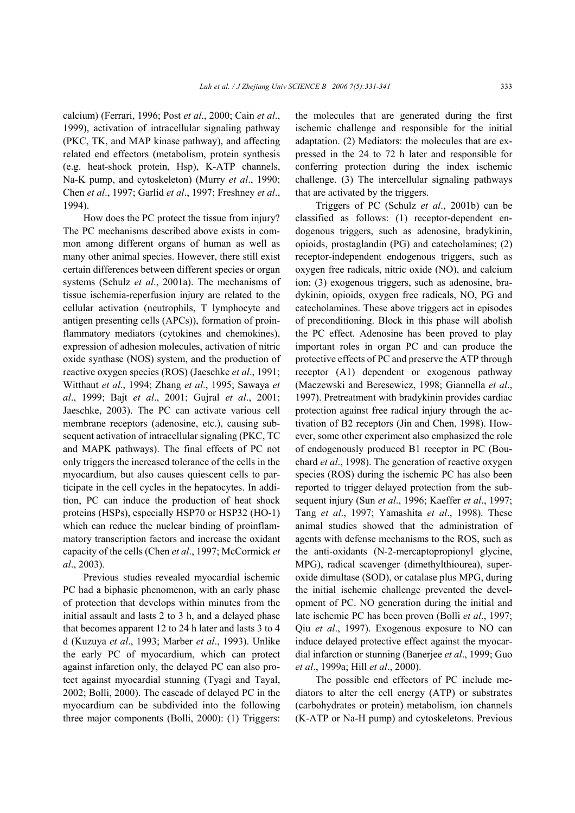calcium) (Ferrari, 1996; Post *et al*., 2000; Cain *et al*., 1999), activation of intracellular signaling pathway (PKC, TK, and MAP kinase pathway), and affecting related end effectors (metabolism, protein synthesis (e.g. heat-shock protein, Hsp), K-ATP channels, Na-K pump, and cytoskeleton) (Murry *et al*., 1990; Chen *et al*., 1997; Garlid *et al*., 1997; Freshney *et al*., 1994).

How does the PC protect the tissue from injury? The PC mechanisms described above exists in common among different organs of human as well as many other animal species. However, there still exist certain differences between different species or organ systems (Schulz *et al*., 2001a). The mechanisms of tissue ischemia-reperfusion injury are related to the cellular activation (neutrophils, T lymphocyte and antigen presenting cells (APCs)), formation of proinflammatory mediators (cytokines and chemokines), expression of adhesion molecules, activation of nitric oxide synthase (NOS) system, and the production of reactive oxygen species (ROS) (Jaeschke *et al*., 1991; Witthaut *et al*., 1994; Zhang *et al*., 1995; Sawaya *et al*., 1999; Bajt *et al*., 2001; Gujral *et al*., 2001; Jaeschke, 2003). The PC can activate various cell membrane receptors (adenosine, etc.), causing subsequent activation of intracellular signaling (PKC, TC and MAPK pathways). The final effects of PC not only triggers the increased tolerance of the cells in the myocardium, but also causes quiescent cells to participate in the cell cycles in the hepatocytes. In addition, PC can induce the production of heat shock proteins (HSPs), especially HSP70 or HSP32 (HO-1) which can reduce the nuclear binding of proinflammatory transcription factors and increase the oxidant capacity of the cells (Chen *et al*., 1997; McCormick *et al*., 2003).

Previous studies revealed myocardial ischemic PC had a biphasic phenomenon, with an early phase of protection that develops within minutes from the initial assault and lasts 2 to 3 h, and a delayed phase that becomes apparent 12 to 24 h later and lasts 3 to 4 d (Kuzuya *et al*., 1993; Marber *et al*., 1993). Unlike the early PC of myocardium, which can protect against infarction only, the delayed PC can also protect against myocardial stunning (Tyagi and Tayal, 2002; Bolli, 2000). The cascade of delayed PC in the myocardium can be subdivided into the following three major components (Bolli, 2000): (1) Triggers: the molecules that are generated during the first ischemic challenge and responsible for the initial adaptation. (2) Mediators: the molecules that are expressed in the 24 to 72 h later and responsible for conferring protection during the index ischemic challenge. (3) The intercellular signaling pathways that are activated by the triggers.

Triggers of PC (Schulz *et al*., 2001b) can be classified as follows: (1) receptor-dependent endogenous triggers, such as adenosine, bradykinin, opioids, prostaglandin (PG) and catecholamines; (2) receptor-independent endogenous triggers, such as oxygen free radicals, nitric oxide (NO), and calcium ion; (3) exogenous triggers, such as adenosine, bradykinin, opioids, oxygen free radicals, NO, PG and catecholamines. These above triggers act in episodes of preconditioning. Block in this phase will abolish the PC effect. Adenosine has been proved to play important roles in organ PC and can produce the protective effects of PC and preserve the ATP through receptor (A1) dependent or exogenous pathway (Maczewski and Beresewicz, 1998; Giannella *et al*., 1997). Pretreatment with bradykinin provides cardiac protection against free radical injury through the activation of B2 receptors (Jin and Chen, 1998). However, some other experiment also emphasized the role of endogenously produced B1 receptor in PC (Bouchard *et al*., 1998). The generation of reactive oxygen species (ROS) during the ischemic PC has also been reported to trigger delayed protection from the subsequent injury (Sun *et al*., 1996; Kaeffer *et al*., 1997; Tang *et al*., 1997; Yamashita *et al*., 1998). These animal studies showed that the administration of agents with defense mechanisms to the ROS, such as the anti-oxidants (N-2-mercaptopropionyl glycine, MPG), radical scavenger (dimethylthiourea), superoxide dimultase (SOD), or catalase plus MPG, during the initial ischemic challenge prevented the development of PC. NO generation during the initial and late ischemic PC has been proven (Bolli *et al*., 1997; Qiu *et al*., 1997). Exogenous exposure to NO can induce delayed protective effect against the myocardial infarction or stunning (Banerjee *et al*., 1999; Guo *et al*., 1999a; Hill *et al*., 2000).

The possible end effectors of PC include mediators to alter the cell energy (ATP) or substrates (carbohydrates or protein) metabolism, ion channels (K-ATP or Na-H pump) and cytoskeletons. Previous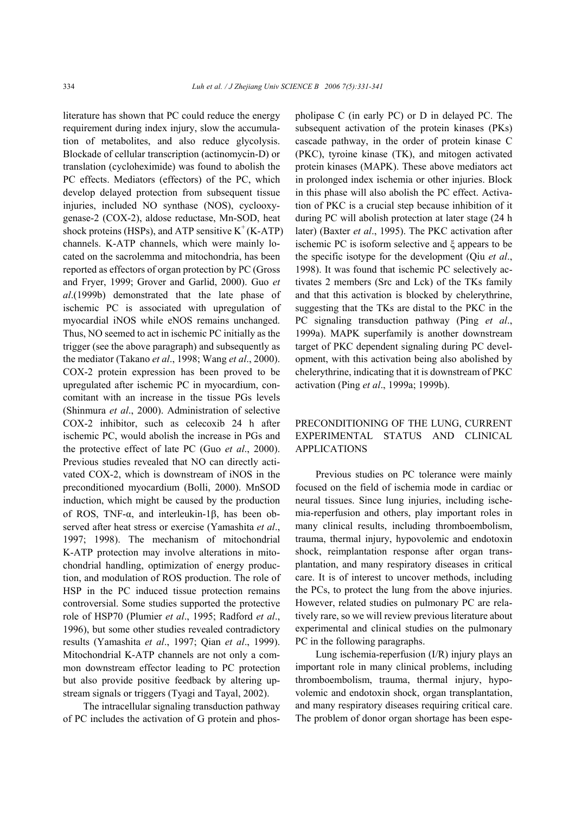literature has shown that PC could reduce the energy requirement during index injury, slow the accumulation of metabolites, and also reduce glycolysis. Blockade of cellular transcription (actinomycin-D) or translation (cycloheximide) was found to abolish the PC effects. Mediators (effectors) of the PC, which develop delayed protection from subsequent tissue injuries, included NO synthase (NOS), cyclooxygenase-2 (COX-2), aldose reductase, Mn-SOD, heat shock proteins (HSPs), and ATP sensitive  $K^+(K-ATP)$ channels. K-ATP channels, which were mainly located on the sacrolemma and mitochondria, has been reported as effectors of organ protection by PC (Gross and Fryer, 1999; Grover and Garlid, 2000). Guo *et al*.(1999b) demonstrated that the late phase of ischemic PC is associated with upregulation of myocardial iNOS while eNOS remains unchanged. Thus, NO seemed to act in ischemic PC initially as the trigger (see the above paragraph) and subsequently as the mediator (Takano *et al*., 1998; Wang *et al*., 2000). COX-2 protein expression has been proved to be upregulated after ischemic PC in myocardium, concomitant with an increase in the tissue PGs levels (Shinmura *et al*., 2000). Administration of selective COX-2 inhibitor, such as celecoxib 24 h after ischemic PC, would abolish the increase in PGs and the protective effect of late PC (Guo *et al*., 2000). Previous studies revealed that NO can directly activated COX-2, which is downstream of iNOS in the preconditioned myocardium (Bolli, 2000). MnSOD induction, which might be caused by the production of ROS, TNF-α, and interleukin-1β, has been observed after heat stress or exercise (Yamashita *et al*., 1997; 1998). The mechanism of mitochondrial K-ATP protection may involve alterations in mitochondrial handling, optimization of energy production, and modulation of ROS production. The role of HSP in the PC induced tissue protection remains controversial. Some studies supported the protective role of HSP70 (Plumier *et al*., 1995; Radford *et al*., 1996), but some other studies revealed contradictory results (Yamashita *et al*., 1997; Qian *et al*., 1999). Mitochondrial K-ATP channels are not only a common downstream effector leading to PC protection but also provide positive feedback by altering upstream signals or triggers (Tyagi and Tayal, 2002).

The intracellular signaling transduction pathway of PC includes the activation of G protein and phospholipase C (in early PC) or D in delayed PC. The subsequent activation of the protein kinases (PKs) cascade pathway, in the order of protein kinase C (PKC), tyroine kinase (TK), and mitogen activated protein kinases (MAPK). These above mediators act in prolonged index ischemia or other injuries. Block in this phase will also abolish the PC effect. Activation of PKC is a crucial step because inhibition of it during PC will abolish protection at later stage (24 h later) (Baxter *et al*., 1995). The PKC activation after ischemic PC is isoform selective and ξ appears to be the specific isotype for the development (Qiu *et al*., 1998). It was found that ischemic PC selectively activates 2 members (Src and Lck) of the TKs family and that this activation is blocked by chelerythrine, suggesting that the TKs are distal to the PKC in the PC signaling transduction pathway (Ping *et al*., 1999a). MAPK superfamily is another downstream target of PKC dependent signaling during PC development, with this activation being also abolished by chelerythrine, indicating that it is downstream of PKC activation (Ping *et al*., 1999a; 1999b).

# PRECONDITIONING OF THE LUNG, CURRENT EXPERIMENTAL STATUS AND CLINICAL APPLICATIONS

Previous studies on PC tolerance were mainly focused on the field of ischemia mode in cardiac or neural tissues. Since lung injuries, including ischemia-reperfusion and others, play important roles in many clinical results, including thromboembolism, trauma, thermal injury, hypovolemic and endotoxin shock, reimplantation response after organ transplantation, and many respiratory diseases in critical care. It is of interest to uncover methods, including the PCs, to protect the lung from the above injuries. However, related studies on pulmonary PC are relatively rare, so we will review previous literature about experimental and clinical studies on the pulmonary PC in the following paragraphs.

Lung ischemia-reperfusion (I/R) injury plays an important role in many clinical problems, including thromboembolism, trauma, thermal injury, hypovolemic and endotoxin shock, organ transplantation, and many respiratory diseases requiring critical care. The problem of donor organ shortage has been espe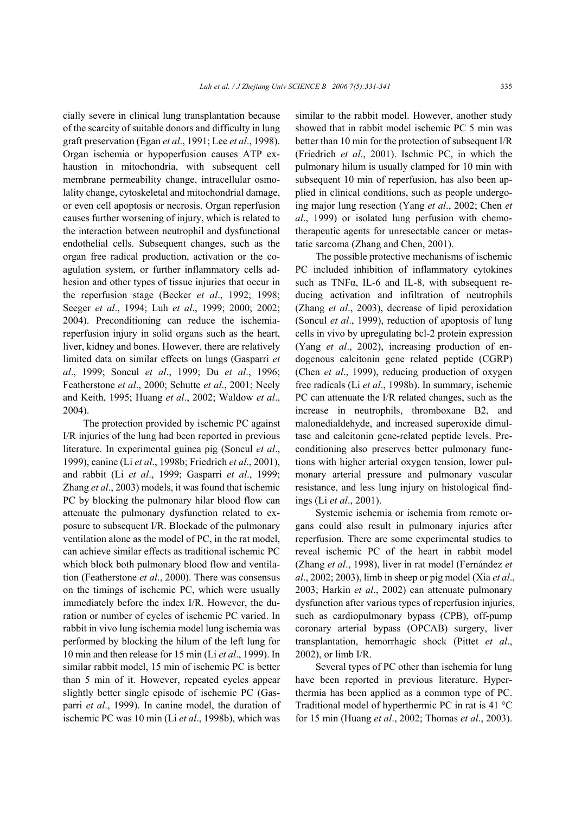cially severe in clinical lung transplantation because of the scarcity of suitable donors and difficulty in lung graft preservation (Egan *et al*., 1991; Lee *et al*., 1998). Organ ischemia or hypoperfusion causes ATP exhaustion in mitochondria, with subsequent cell membrane permeability change, intracellular osmolality change, cytoskeletal and mitochondrial damage, or even cell apoptosis or necrosis. Organ reperfusion causes further worsening of injury, which is related to the interaction between neutrophil and dysfunctional endothelial cells. Subsequent changes, such as the organ free radical production, activation or the coagulation system, or further inflammatory cells adhesion and other types of tissue injuries that occur in the reperfusion stage (Becker *et al*., 1992; 1998; Seeger *et al*., 1994; Luh *et al*., 1999; 2000; 2002; 2004). Preconditioning can reduce the ischemiareperfusion injury in solid organs such as the heart, liver, kidney and bones. However, there are relatively limited data on similar effects on lungs (Gasparri *et al*., 1999; Soncul *et al*., 1999; Du *et al*., 1996; Featherstone *et al*., 2000; Schutte *et al*., 2001; Neely and Keith, 1995; Huang *et al*., 2002; Waldow *et al*., 2004).

The protection provided by ischemic PC against I/R injuries of the lung had been reported in previous literature. In experimental guinea pig (Soncul *et al*., 1999), canine (Li *et al*., 1998b; Friedrich *et al*., 2001), and rabbit (Li *et al*., 1999; Gasparri *et al*., 1999; Zhang *et al*., 2003) models, it was found that ischemic PC by blocking the pulmonary hilar blood flow can attenuate the pulmonary dysfunction related to exposure to subsequent I/R. Blockade of the pulmonary ventilation alone as the model of PC, in the rat model, can achieve similar effects as traditional ischemic PC which block both pulmonary blood flow and ventilation (Featherstone *et al*., 2000). There was consensus on the timings of ischemic PC, which were usually immediately before the index I/R. However, the duration or number of cycles of ischemic PC varied. In rabbit in vivo lung ischemia model lung ischemia was performed by blocking the hilum of the left lung for 10 min and then release for 15 min (Li *et al*., 1999). In similar rabbit model, 15 min of ischemic PC is better than 5 min of it. However, repeated cycles appear slightly better single episode of ischemic PC (Gasparri *et al*., 1999). In canine model, the duration of ischemic PC was 10 min (Li *et al*., 1998b), which was

similar to the rabbit model. However, another study showed that in rabbit model ischemic PC 5 min was better than 10 min for the protection of subsequent I/R (Friedrich *et al*., 2001). Ischmic PC, in which the pulmonary hilum is usually clamped for 10 min with subsequent 10 min of reperfusion, has also been applied in clinical conditions, such as people undergoing major lung resection (Yang *et al*., 2002; Chen *et al*., 1999) or isolated lung perfusion with chemotherapeutic agents for unresectable cancer or metastatic sarcoma (Zhang and Chen, 2001).

The possible protective mechanisms of ischemic PC included inhibition of inflammatory cytokines such as TNF $\alpha$ , IL-6 and IL-8, with subsequent reducing activation and infiltration of neutrophils (Zhang *et al*., 2003), decrease of lipid peroxidation (Soncul *et al*., 1999), reduction of apoptosis of lung cells in vivo by upregulating bcl-2 protein expression (Yang *et al*., 2002), increasing production of endogenous calcitonin gene related peptide (CGRP) (Chen *et al*., 1999), reducing production of oxygen free radicals (Li *et al*., 1998b). In summary, ischemic PC can attenuate the I/R related changes, such as the increase in neutrophils, thromboxane B2, and malonedialdehyde, and increased superoxide dimultase and calcitonin gene-related peptide levels. Preconditioning also preserves better pulmonary functions with higher arterial oxygen tension, lower pulmonary arterial pressure and pulmonary vascular resistance, and less lung injury on histological findings (Li *et al*., 2001).

Systemic ischemia or ischemia from remote organs could also result in pulmonary injuries after reperfusion. There are some experimental studies to reveal ischemic PC of the heart in rabbit model (Zhang *et al*., 1998), liver in rat model (Fernández *et al*., 2002; 2003), limb in sheep or pig model (Xia *et al*., 2003; Harkin *et al*., 2002) can attenuate pulmonary dysfunction after various types of reperfusion injuries, such as cardiopulmonary bypass (CPB), off-pump coronary arterial bypass (OPCAB) surgery, liver transplantation, hemorrhagic shock (Pittet *et al*., 2002), or limb I/R.

Several types of PC other than ischemia for lung have been reported in previous literature. Hyperthermia has been applied as a common type of PC. Traditional model of hyperthermic PC in rat is 41 °C for 15 min (Huang *et al*., 2002; Thomas *et al*., 2003).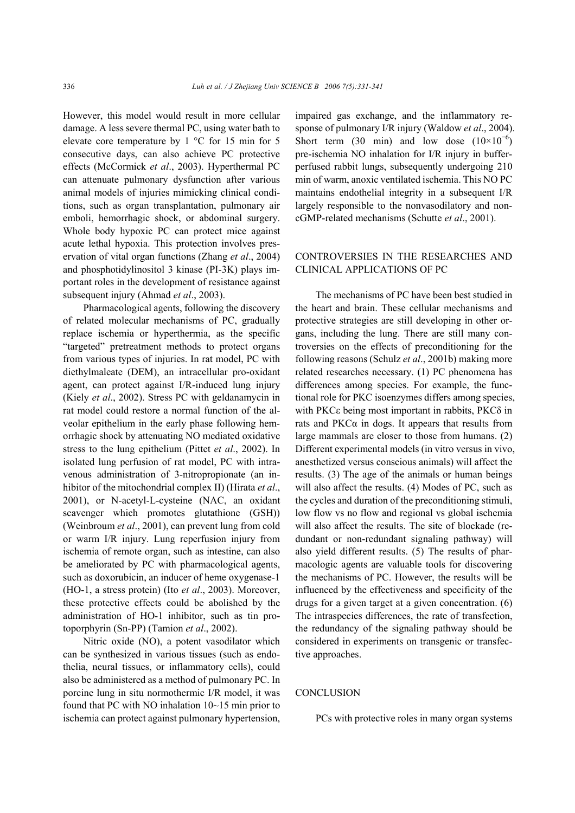However, this model would result in more cellular damage. A less severe thermal PC, using water bath to elevate core temperature by 1 °C for 15 min for 5 consecutive days, can also achieve PC protective effects (McCormick *et al*., 2003). Hyperthermal PC can attenuate pulmonary dysfunction after various animal models of injuries mimicking clinical conditions, such as organ transplantation, pulmonary air emboli, hemorrhagic shock, or abdominal surgery. Whole body hypoxic PC can protect mice against acute lethal hypoxia. This protection involves preservation of vital organ functions (Zhang *et al*., 2004) and phosphotidylinositol 3 kinase (PI-3K) plays important roles in the development of resistance against subsequent injury (Ahmad *et al*., 2003).

Pharmacological agents, following the discovery of related molecular mechanisms of PC, gradually replace ischemia or hyperthermia, as the specific "targeted" pretreatment methods to protect organs from various types of injuries. In rat model, PC with diethylmaleate (DEM), an intracellular pro-oxidant agent, can protect against I/R-induced lung injury (Kiely *et al*., 2002). Stress PC with geldanamycin in rat model could restore a normal function of the alveolar epithelium in the early phase following hemorrhagic shock by attenuating NO mediated oxidative stress to the lung epithelium (Pittet *et al*., 2002). In isolated lung perfusion of rat model, PC with intravenous administration of 3-nitropropionate (an inhibitor of the mitochondrial complex II) (Hirata *et al*., 2001), or N-acetyl-L-cysteine (NAC, an oxidant scavenger which promotes glutathione (GSH)) (Weinbroum *et al*., 2001), can prevent lung from cold or warm I/R injury. Lung reperfusion injury from ischemia of remote organ, such as intestine, can also be ameliorated by PC with pharmacological agents, such as doxorubicin, an inducer of heme oxygenase-1 (HO-1, a stress protein) (Ito *et al*., 2003). Moreover, these protective effects could be abolished by the administration of HO-1 inhibitor, such as tin protoporphyrin (Sn-PP) (Tamion *et al*., 2002).

Nitric oxide (NO), a potent vasodilator which can be synthesized in various tissues (such as endothelia, neural tissues, or inflammatory cells), could also be administered as a method of pulmonary PC. In porcine lung in situ normothermic I/R model, it was found that PC with NO inhalation 10~15 min prior to ischemia can protect against pulmonary hypertension,

impaired gas exchange, and the inflammatory response of pulmonary I/R injury (Waldow *et al*., 2004). Short term (30 min) and low dose  $(10\times10^{-6})$ pre-ischemia NO inhalation for I/R injury in bufferperfused rabbit lungs, subsequently undergoing 210 min of warm, anoxic ventilated ischemia. This NO PC maintains endothelial integrity in a subsequent I/R largely responsible to the nonvasodilatory and noncGMP-related mechanisms (Schutte *et al*., 2001).

### CONTROVERSIES IN THE RESEARCHES AND CLINICAL APPLICATIONS OF PC

The mechanisms of PC have been best studied in the heart and brain. These cellular mechanisms and protective strategies are still developing in other organs, including the lung. There are still many controversies on the effects of preconditioning for the following reasons (Schulz *et al*., 2001b) making more related researches necessary. (1) PC phenomena has differences among species. For example, the functional role for PKC isoenzymes differs among species, with PKCε being most important in rabbits, PKCδ in rats and  $PKC\alpha$  in dogs. It appears that results from large mammals are closer to those from humans. (2) Different experimental models (in vitro versus in vivo, anesthetized versus conscious animals) will affect the results. (3) The age of the animals or human beings will also affect the results. (4) Modes of PC, such as the cycles and duration of the preconditioning stimuli, low flow vs no flow and regional vs global ischemia will also affect the results. The site of blockade (redundant or non-redundant signaling pathway) will also yield different results. (5) The results of pharmacologic agents are valuable tools for discovering the mechanisms of PC. However, the results will be influenced by the effectiveness and specificity of the drugs for a given target at a given concentration. (6) The intraspecies differences, the rate of transfection, the redundancy of the signaling pathway should be considered in experiments on transgenic or transfective approaches.

#### **CONCLUSION**

PCs with protective roles in many organ systems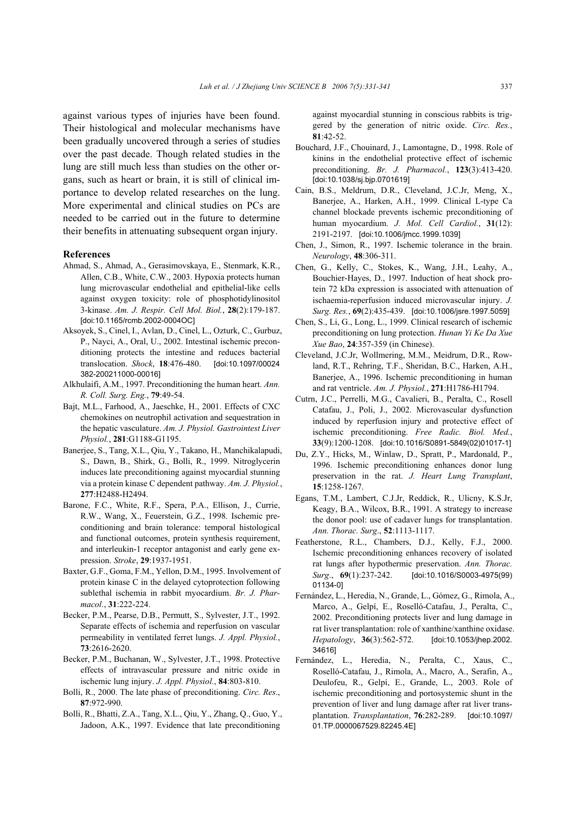against various types of injuries have been found. Their histological and molecular mechanisms have been gradually uncovered through a series of studies over the past decade. Though related studies in the lung are still much less than studies on the other organs, such as heart or brain, it is still of clinical importance to develop related researches on the lung. More experimental and clinical studies on PCs are needed to be carried out in the future to determine their benefits in attenuating subsequent organ injury.

#### **References**

- Ahmad, S., Ahmad, A., Gerasimovskaya, E., Stenmark, K.R., Allen, C.B., White, C.W., 2003. Hypoxia protects human lung microvascular endothelial and epithelial-like cells against oxygen toxicity: role of phosphotidylinositol 3-kinase. *Am. J. Respir. Cell Mol. Biol.*, **28**(2):179-187. [doi:10.1165/rcmb.2002-0004OC]
- Aksoyek, S., Cinel, I., Avlan, D., Cinel, L., Ozturk, C., Gurbuz, P., Nayci, A., Oral, U., 2002. Intestinal ischemic preconditioning protects the intestine and reduces bacterial translocation. *Shock*, **18**:476-480. [doi:10.1097/00024 382-200211000-00016]
- Alkhulaifi, A.M., 1997. Preconditioning the human heart. *Ann. R. Coll. Surg. Eng.*, **79**:49-54.
- Bajt, M.L., Farhood, A., Jaeschke, H., 2001. Effects of CXC chemokines on neutrophil activation and sequestration in the hepatic vasculature. *Am. J. Physiol. Gastrointest Liver Physiol.*, **281**:G1188-G1195.
- Banerjee, S., Tang, X.L., Qiu, Y., Takano, H., Manchikalapudi, S., Dawn, B., Shirk, G., Bolli, R., 1999. Nitroglycerin induces late preconditioning against myocardial stunning via a protein kinase C dependent pathway. *Am. J. Physiol.*, **277**:H2488-H2494.
- Barone, F.C., White, R.F., Spera, P.A., Ellison, J., Currie, R.W., Wang, X., Feuerstein, G.Z., 1998. Ischemic preconditioning and brain tolerance: temporal histological and functional outcomes, protein synthesis requirement, and interleukin-1 receptor antagonist and early gene expression. *Stroke*, **29**:1937-1951.
- Baxter, G.F., Goma, F.M., Yellon, D.M., 1995. Involvement of protein kinase C in the delayed cytoprotection following sublethal ischemia in rabbit myocardium. *Br. J. Pharmacol*., **31**:222-224.
- Becker, P.M., Pearse, D.B., Permutt, S., Sylvester, J.T., 1992. Separate effects of ischemia and reperfusion on vascular permeability in ventilated ferret lungs. *J. Appl. Physiol.*, **73**:2616-2620.
- Becker, P.M., Buchanan, W., Sylvester, J.T., 1998. Protective effects of intravascular pressure and nitric oxide in ischemic lung injury. *J. Appl. Physiol.*, **84**:803-810.
- Bolli, R., 2000. The late phase of preconditioning. *Circ. Res*., **87**:972-990.
- Bolli, R., Bhatti, Z.A., Tang, X.L., Qiu, Y., Zhang, Q., Guo, Y., Jadoon, A.K., 1997. Evidence that late preconditioning

against myocardial stunning in conscious rabbits is triggered by the generation of nitric oxide. *Circ. Res.*, **81**:42-52.

- Bouchard, J.F., Chouinard, J., Lamontagne, D., 1998. Role of kinins in the endothelial protective effect of ischemic preconditioning. *Br. J. Pharmacol.*, **123**(3):413-420. [doi:10.1038/sj.bjp.0701619]
- Cain, B.S., Meldrum, D.R., Cleveland, J.C.Jr, Meng, X., Banerjee, A., Harken, A.H., 1999. Clinical L-type Ca channel blockade prevents ischemic preconditioning of human myocardium. *J. Mol. Cell Cardiol.*, **31**(12): 2191-2197. [doi:10.1006/jmcc.1999.1039]
- Chen, J., Simon, R., 1997. Ischemic tolerance in the brain. *Neurology*, **48**:306-311.
- Chen, G., Kelly, C., Stokes, K., Wang, J.H., Leahy, A., Bouchier-Hayes, D., 1997. Induction of heat shock protein 72 kDa expression is associated with attenuation of ischaemia-reperfusion induced microvascular injury. *J. Surg. Res.*, **69**(2):435-439. [doi:10.1006/jsre.1997.5059]
- Chen, S., Li, G., Long, L., 1999. Clinical research of ischemic preconditioning on lung protection. *Hunan Yi Ke Da Xue Xue Bao*, **24**:357-359 (in Chinese).
- Cleveland, J.C.Jr, Wollmering, M.M., Meidrum, D.R., Rowland, R.T., Rehring, T.F., Sheridan, B.C., Harken, A.H., Banerjee, A., 1996. Ischemic preconditioning in human and rat ventricle. *Am. J. Physiol.*, **271**:H1786-H1794.
- Cutrn, J.C., Perrelli, M.G., Cavalieri, B., Peralta, C., Rosell Catafau, J., Poli, J., 2002. Microvascular dysfunction induced by reperfusion injury and protective effect of ischemic preconditioning. *Free Radic. Biol. Med.*, **33**(9):1200-1208. [doi:10.1016/S0891-5849(02)01017-1]
- Du, Z.Y., Hicks, M., Winlaw, D., Spratt, P., Mardonald, P., 1996. Ischemic preconditioning enhances donor lung preservation in the rat. *J. Heart Lung Transplant*, **15**:1258-1267.
- Egans, T.M., Lambert, C.J.Jr, Reddick, R., Ulicny, K.S.Jr, Keagy, B.A., Wilcox, B.R., 1991. A strategy to increase the donor pool: use of cadaver lungs for transplantation. *Ann. Thorac. Surg*., **52**:1113-1117.
- Featherstone, R.L., Chambers, D.J., Kelly, F.J., 2000. Ischemic preconditioning enhances recovery of isolated rat lungs after hypothermic preservation. *Ann. Thorac. Surg*., **69**(1):237-242. [doi:10.1016/S0003-4975(99) 01134-0]
- Fernández, L., Heredia, N., Grande, L., Gómez, G., Rimola, A., Marco, A., Gelpí, E., Roselló-Catafau, J., Peralta, C., 2002. Preconditioning protects liver and lung damage in rat liver transplantation: role of xanthine/xanthine oxidase. *Hepatology*, **36**(3):562-572. [doi:10.1053/jhep.2002. 34616]
- Fernández, L., Heredia, N., Peralta, C., Xaus, C., Roselló-Catafau, J., Rimola, A., Macro, A., Serafin, A., Deulofeu, R., Gelpí, E., Grande, L., 2003. Role of ischemic preconditioning and portosystemic shunt in the prevention of liver and lung damage after rat liver transplantation. *Transplantation*, **76**:282-289. [doi:10.1097/ 01.TP.0000067529.82245.4E]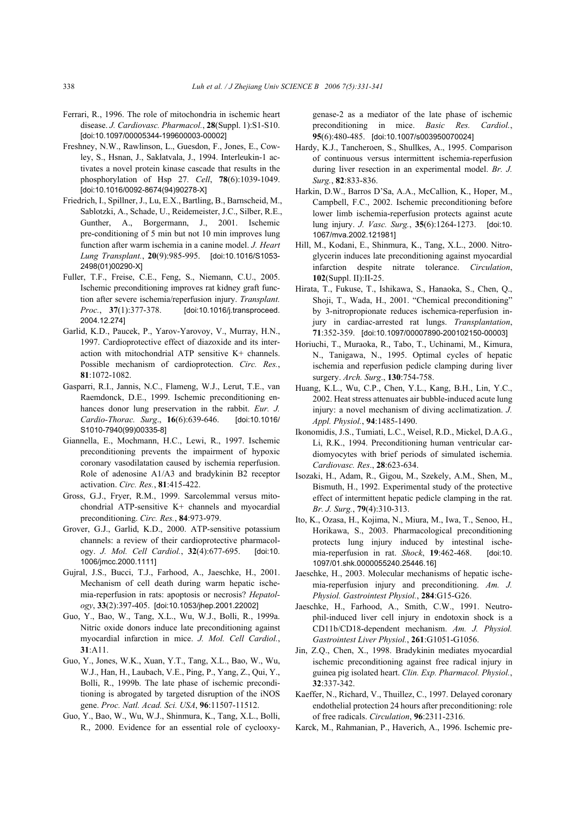- Ferrari, R., 1996. The role of mitochondria in ischemic heart disease. *J. Cardiovasc. Pharmacol.*, **28**(Suppl. 1):S1-S10. [doi:10.1097/00005344-199600003-00002]
- Freshney, N.W., Rawlinson, L., Guesdon, F., Jones, E., Cowley, S., Hsnan, J., Saklatvala, J., 1994. Interleukin-1 activates a novel protein kinase cascade that results in the phosphorylation of Hsp 27. *Cell*, **78**(6):1039-1049. [doi:10.1016/0092-8674(94)90278-X]
- Friedrich, I., Spillner, J., Lu, E.X., Bartling, B., Barnscheid, M., Sablotzki, A., Schade, U., Reidemeister, J.C., Silber, R.E., Gunther, A., Borgermann, J., 2001. Ischemic pre-conditioning of 5 min but not 10 min improves lung function after warm ischemia in a canine model. *J. Heart Lung Transplant.*, **20**(9):985-995. [doi:10.1016/S1053- 2498(01)00290-X]
- Fuller, T.F., Freise, C.E., Feng, S., Niemann, C.U., 2005. Ischemic preconditioning improves rat kidney graft function after severe ischemia/reperfusion injury. *Transplant. Proc.*, **37**(1):377-378. [doi:10.1016/j.transproceed. 2004.12.274]
- Garlid, K.D., Paucek, P., Yarov-Yarovoy, V., Murray, H.N., 1997. Cardioprotective effect of diazoxide and its interaction with mitochondrial ATP sensitive K+ channels. Possible mechanism of cardioprotection. *Circ. Res.*, **81**:1072-1082.
- Gasparri, R.I., Jannis, N.C., Flameng, W.J., Lerut, T.E., van Raemdonck, D.E., 1999. Ischemic preconditioning enhances donor lung preservation in the rabbit. *Eur. J. Cardio-Thorac. Surg*., **16**(6):639-646. [doi:10.1016/ S1010-7940(99)00335-8]
- Giannella, E., Mochmann, H.C., Lewi, R., 1997. Ischemic preconditioning prevents the impairment of hypoxic coronary vasodilatation caused by ischemia reperfusion. Role of adenosine A1/A3 and bradykinin B2 receptor activation. *Circ. Res.*, **81**:415-422.
- Gross, G.J., Fryer, R.M., 1999. Sarcolemmal versus mitochondrial ATP-sensitive K+ channels and myocardial preconditioning. *Circ. Res.*, **84**:973-979.
- Grover, G.J., Garlid, K.D., 2000. ATP-sensitive potassium channels: a review of their cardioprotective pharmacology. *J. Mol. Cell Cardiol.*, **32**(4):677-695. [doi:10. 1006/jmcc.2000.1111]
- Gujral, J.S., Bucci, T.J., Farhood, A., Jaeschke, H., 2001. Mechanism of cell death during warm hepatic ischemia-reperfusion in rats: apoptosis or necrosis? *Hepatology*, **33**(2):397-405. [doi:10.1053/jhep.2001.22002]
- Guo, Y., Bao, W., Tang, X.L., Wu, W.J., Bolli, R., 1999a. Nitric oxide donors induce late preconditioning against myocardial infarction in mice. *J. Mol. Cell Cardiol.*, **31**:A11.
- Guo, Y., Jones, W.K., Xuan, Y.T., Tang, X.L., Bao, W., Wu, W.J., Han, H., Laubach, V.E., Ping, P., Yang, Z., Qui, Y., Bolli, R., 1999b. The late phase of ischemic preconditioning is abrogated by targeted disruption of the iNOS gene. *Proc. Natl. Acad. Sci. USA*, **96**:11507-11512.
- Guo, Y., Bao, W., Wu, W.J., Shinmura, K., Tang, X.L., Bolli, R., 2000. Evidence for an essential role of cyclooxy-

genase-2 as a mediator of the late phase of ischemic preconditioning in mice. *Basic Res. Cardiol.*, **95**(6):480-485. [doi:10.1007/s003950070024]

- Hardy, K.J., Tancheroen, S., Shullkes, A., 1995. Comparison of continuous versus intermittent ischemia-reperfusion during liver resection in an experimental model. *Br. J. Surg.*, **82**:833-836.
- Harkin, D.W., Barros D'Sa, A.A., McCallion, K., Hoper, M., Campbell, F.C., 2002. Ischemic preconditioning before lower limb ischemia-reperfusion protects against acute lung injury. *J. Vasc. Surg.*, **35**(6):1264-1273. [doi:10. 1067/mva.2002.121981]
- Hill, M., Kodani, E., Shinmura, K., Tang, X.L., 2000. Nitroglycerin induces late preconditioning against myocardial infarction despite nitrate tolerance. *Circulation*, **102**(Suppl. II):II-25.
- Hirata, T., Fukuse, T., Ishikawa, S., Hanaoka, S., Chen, Q., Shoji, T., Wada, H., 2001. "Chemical preconditioning" by 3-nitropropionate reduces ischemica-reperfusion injury in cardiac-arrested rat lungs. *Transplantation*, **71**:352-359. [doi:10.1097/00007890-200102150-00003]
- Horiuchi, T., Muraoka, R., Tabo, T., Uchinami, M., Kimura, N., Tanigawa, N., 1995. Optimal cycles of hepatic ischemia and reperfusion pedicle clamping during liver surgery. *Arch. Surg*., **130**:754-758.
- Huang, K.L., Wu, C.P., Chen, Y.L., Kang, B.H., Lin, Y.C., 2002. Heat stress attenuates air bubble-induced acute lung injury: a novel mechanism of diving acclimatization. *J. Appl. Physiol.*, **94**:1485-1490.
- Ikonomidis, J.S., Tumiati, L.C., Weisel, R.D., Mickel, D.A.G., Li, R.K., 1994. Preconditioning human ventricular cardiomyocytes with brief periods of simulated ischemia. *Cardiovasc. Res*., **28**:623-634.
- Isozaki, H., Adam, R., Gigou, M., Szekely, A.M., Shen, M., Bismuth, H., 1992. Experimental study of the protective effect of intermittent hepatic pedicle clamping in the rat. *Br. J. Surg.*, **79**(4):310-313.
- Ito, K., Ozasa, H., Kojima, N., Miura, M., Iwa, T., Senoo, H., Horikawa, S., 2003. Pharmacological preconditioning protects lung injury induced by intestinal ischemia-reperfusion in rat. *Shock*, **19**:462-468. [doi:10. 1097/01.shk.0000055240.25446.16]
- Jaeschke, H., 2003. Molecular mechanisms of hepatic ischemia-reperfusion injury and preconditioning. *Am. J. Physiol. Gastrointest Physiol.*, **284**:G15-G26.
- Jaeschke, H., Farhood, A., Smith, C.W., 1991. Neutrophil-induced liver cell injury in endotoxin shock is a CD11b/CD18-dependent mechanism. *Am. J. Physiol. Gastrointest Liver Physiol.*, **261**:G1051-G1056.
- Jin, Z.Q., Chen, X., 1998. Bradykinin mediates myocardial ischemic preconditioning against free radical injury in guinea pig isolated heart. *Clin. Exp. Pharmacol. Physiol.*, **32**:337-342.
- Kaeffer, N., Richard, V., Thuillez, C., 1997. Delayed coronary endothelial protection 24 hours after preconditioning: role of free radicals. *Circulation*, **96**:2311-2316.
- Karck, M., Rahmanian, P., Haverich, A., 1996. Ischemic pre-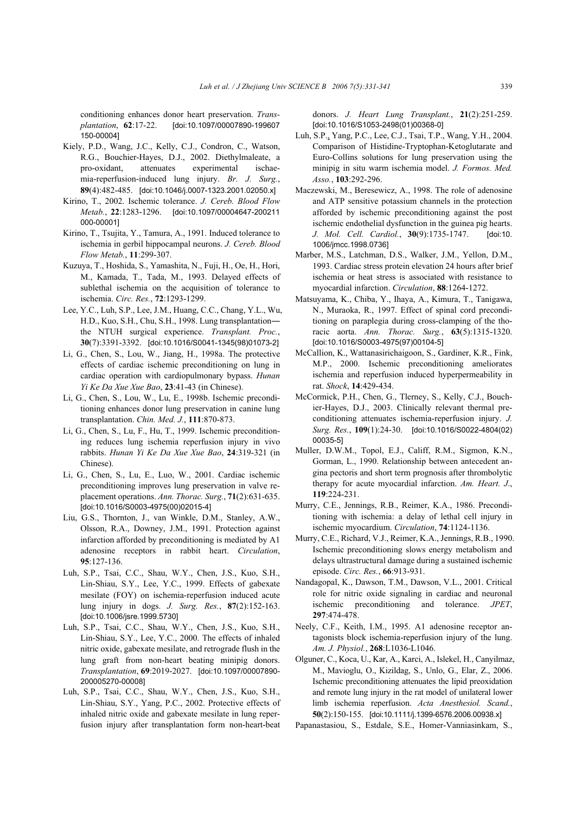conditioning enhances donor heart preservation. *Transplantation*, **62**:17-22. [doi:10.1097/00007890-199607 150-00004]

- Kiely, P.D., Wang, J.C., Kelly, C.J., Condron, C., Watson, R.G., Bouchier-Hayes, D.J., 2002. Diethylmaleate, a pro-oxidant, attenuates experimental ischaemia-reperfusion-induced lung injury. *Br. J. Surg.*, **89**(4):482-485. [doi:10.1046/j.0007-1323.2001.02050.x]
- Kirino, T., 2002. Ischemic tolerance. *J. Cereb. Blood Flow Metab.*, **22**:1283-1296. [doi:10.1097/00004647-200211 000-00001]
- Kirino, T., Tsujita, Y., Tamura, A., 1991. Induced tolerance to ischemia in gerbil hippocampal neurons. *J. Cereb. Blood Flow Metab.*, **11**:299-307.
- Kuzuya, T., Hoshida, S., Yamashita, N., Fuji, H., Oe, H., Hori, M., Kamada, T., Tada, M., 1993. Delayed effects of sublethal ischemia on the acquisition of tolerance to ischemia. *Circ. Res.*, **72**:1293-1299.
- Lee, Y.C., Luh, S.P., Lee, J.M., Huang, C.C., Chang, Y.L., Wu, H.D., Kuo, S.H., Chu, S.H., 1998. Lung transplantation― the NTUH surgical experience. *Transplant. Proc.*, **30**(7):3391-3392. [doi:10.1016/S0041-1345(98)01073-2]
- Li, G., Chen, S., Lou, W., Jiang, H., 1998a. The protective effects of cardiac ischemic preconditioning on lung in cardiac operation with cardiopulmonary bypass. *Hunan Yi Ke Da Xue Xue Bao*, **23**:41-43 (in Chinese).
- Li, G., Chen, S., Lou, W., Lu, E., 1998b. Ischemic preconditioning enhances donor lung preservation in canine lung transplantation. *Chin. Med. J.*, **111**:870-873.
- Li, G., Chen, S., Lu, F., Hu, T., 1999. Ischemic preconditioning reduces lung ischemia reperfusion injury in vivo rabbits. *Hunan Yi Ke Da Xue Xue Bao*, **24**:319-321 (in Chinese).
- Li, G., Chen, S., Lu, E., Luo, W., 2001. Cardiac ischemic preconditioning improves lung preservation in valve replacement operations. *Ann. Thorac. Surg.*, **71**(2):631-635. [doi:10.1016/S0003-4975(00)02015-4]
- Liu, G.S., Thornton, J., van Winkle, D.M., Stanley, A.W., Olsson, R.A., Downey, J.M., 1991. Protection against infarction afforded by preconditioning is mediated by A1 adenosine receptors in rabbit heart. *Circulation*, **95**:127-136.
- Luh, S.P., Tsai, C.C., Shau, W.Y., Chen, J.S., Kuo, S.H., Lin-Shiau, S.Y., Lee, Y.C., 1999. Effects of gabexate mesilate (FOY) on ischemia-reperfusion induced acute lung injury in dogs. *J. Surg. Res.*, **87**(2):152-163. [doi:10.1006/jsre.1999.5730]
- Luh, S.P., Tsai, C.C., Shau, W.Y., Chen, J.S., Kuo, S.H., Lin-Shiau, S.Y., Lee, Y.C., 2000. The effects of inhaled nitric oxide, gabexate mesilate, and retrograde flush in the lung graft from non-heart beating minipig donors. *Transplantation*, **69**:2019-2027. [doi:10.1097/00007890- 200005270-00008]
- Luh, S.P., Tsai, C.C., Shau, W.Y., Chen, J.S., Kuo, S.H., Lin-Shiau, S.Y., Yang, P.C., 2002. Protective effects of inhaled nitric oxide and gabexate mesilate in lung reperfusion injury after transplantation form non-heart-beat

donors. *J. Heart Lung Transplant.*, **21**(2):251-259. [doi:10.1016/S1053-2498(01)00368-0]

- Luh, S.P., Yang, P.C., Lee, C.J., Tsai, T.P., Wang, Y.H., 2004. Comparison of Histidine-Tryptophan-Ketoglutarate and Euro-Collins solutions for lung preservation using the minipig in situ warm ischemia model. *J. Formos. Med. Asso.*, **103**:292-296.
- Maczewski, M., Beresewicz, A., 1998. The role of adenosine and ATP sensitive potassium channels in the protection afforded by ischemic preconditioning against the post ischemic endothelial dysfunction in the guinea pig hearts. *J. Mol. Cell. Cardiol.*, **30**(9):1735-1747. [doi:10. 1006/jmcc.1998.0736]
- Marber, M.S., Latchman, D.S., Walker, J.M., Yellon, D.M., 1993. Cardiac stress protein elevation 24 hours after brief ischemia or heat stress is associated with resistance to myocardial infarction. *Circulation*, **88**:1264-1272.
- Matsuyama, K., Chiba, Y., Ihaya, A., Kimura, T., Tanigawa, N., Muraoka, R., 1997. Effect of spinal cord preconditioning on paraplegia during cross-clamping of the thoracic aorta. *Ann. Thorac. Surg.*, **63**(5):1315-1320. [doi:10.1016/S0003-4975(97)00104-5]
- McCallion, K., Wattanasirichaigoon, S., Gardiner, K.R., Fink, M.P., 2000. Ischemic preconditioning ameliorates ischemia and reperfusion induced hyperpermeability in rat. *Shock*, **14**:429-434.
- McCormick, P.H., Chen, G., Tlerney, S., Kelly, C.J., Bouchier-Hayes, D.J., 2003. Clinically relevant thermal preconditioning attenuates ischemia-reperfusion injury. *J. Surg. Res.*, **109**(1):24-30. [doi:10.1016/S0022-4804(02) 00035-5]
- Muller, D.W.M., Topol, E.J., Califf, R.M., Sigmon, K.N., Gorman, L., 1990. Relationship between antecedent angina pectoris and short term prognosis after thrombolytic therapy for acute myocardial infarction. *Am. Heart. J*., **119**:224-231.
- Murry, C.E., Jennings, R.B., Reimer, K.A., 1986. Preconditioning with ischemia: a delay of lethal cell injury in ischemic myocardium. *Circulation*, **74**:1124-1136.
- Murry, C.E., Richard, V.J., Reimer, K.A., Jennings, R.B., 1990. Ischemic preconditioning slows energy metabolism and delays ultrastructural damage during a sustained ischemic episode. *Circ. Res.*, **66**:913-931.
- Nandagopal, K., Dawson, T.M., Dawson, V.L., 2001. Critical role for nitric oxide signaling in cardiac and neuronal ischemic preconditioning and tolerance. *JPET*, **297**:474-478.
- Neely, C.F., Keith, I.M., 1995. A1 adenosine receptor antagonists block ischemia-reperfusion injury of the lung. *Am. J. Physiol.*, **268**:L1036-L1046.
- Olguner, C., Koca, U., Kar, A., Karci, A., Islekel, H., Canyilmaz, M., Mavioglu, O., Kizildag, S., Unlo, G., Elar, Z., 2006. Ischemic preconditioning attenuates the lipid preoxidation and remote lung injury in the rat model of unilateral lower limb ischemia reperfusion. *Acta Anesthesiol. Scand.*, **50**(2):150-155. [doi:10.1111/j.1399-6576.2006.00938.x]
- Papanastasiou, S., Estdale, S.E., Homer-Vanniasinkam, S.,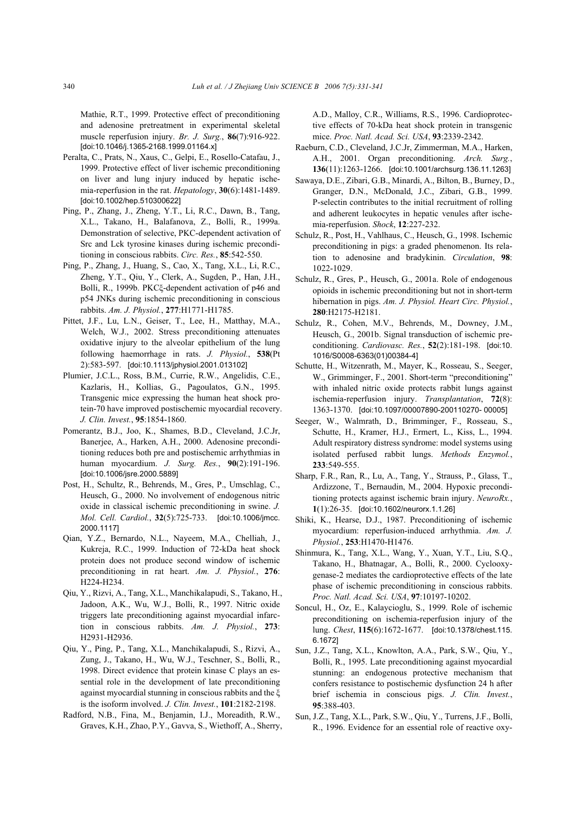Mathie, R.T., 1999. Protective effect of preconditioning and adenosine pretreatment in experimental skeletal muscle reperfusion injury. *Br. J. Surg.*, **86**(7):916-922. [doi:10.1046/j.1365-2168.1999.01164.x]

- Peralta, C., Prats, N., Xaus, C., Gelpi, E., Rosello-Catafau, J., 1999. Protective effect of liver ischemic preconditioning on liver and lung injury induced by hepatic ischemia-reperfusion in the rat. *Hepatology*, **30**(6):1481-1489. [doi:10.1002/hep.510300622]
- Ping, P., Zhang, J., Zheng, Y.T., Li, R.C., Dawn, B., Tang, X.L., Takano, H., Balafanova, Z., Bolli, R., 1999a. Demonstration of selective, PKC-dependent activation of Src and Lck tyrosine kinases during ischemic preconditioning in conscious rabbits. *Circ. Res.*, **85**:542-550.
- Ping, P., Zhang, J., Huang, S., Cao, X., Tang, X.L., Li, R.C., Zheng, Y.T., Qiu, Y., Clerk, A., Sugden, P., Han, J.H., Bolli, R., 1999b. PKCξ-dependent activation of p46 and p54 JNKs during ischemic preconditioning in conscious rabbits. *Am. J. Physiol.*, **277**:H1771-H1785.
- Pittet, J.F., Lu, L.N., Geiser, T., Lee, H., Matthay, M.A., Welch, W.J., 2002. Stress preconditioning attenuates oxidative injury to the alveolar epithelium of the lung following haemorrhage in rats. *J. Physiol.*, **538**(Pt 2):583-597. [doi:10.1113/jphysiol.2001.013102]
- Plumier, J.C.L., Ross, B.M., Currie, R.W., Angelidis, C.E., Kazlaris, H., Kollias, G., Pagoulatos, G.N., 1995. Transgenic mice expressing the human heat shock protein-70 have improved postischemic myocardial recovery. *J. Clin. Invest.*, **95**:1854-1860.
- Pomerantz, B.J., Joo, K., Shames, B.D., Cleveland, J.C.Jr, Banerjee, A., Harken, A.H., 2000. Adenosine preconditioning reduces both pre and postischemic arrhythmias in human myocardium. *J. Surg. Res.*, **90**(2):191-196. [doi:10.1006/jsre.2000.5889]
- Post, H., Schultz, R., Behrends, M., Gres, P., Umschlag, C., Heusch, G., 2000. No involvement of endogenous nitric oxide in classical ischemic preconditioning in swine. *J. Mol. Cell. Cardiol.*, **32**(5):725-733. [doi:10.1006/jmcc. 2000.1117]
- Qian, Y.Z., Bernardo, N.L., Nayeem, M.A., Chelliah, J., Kukreja, R.C., 1999. Induction of 72-kDa heat shock protein does not produce second window of ischemic preconditioning in rat heart. *Am. J. Physiol.*, **276**: H224-H234.
- Qiu, Y., Rizvi, A., Tang, X.L., Manchikalapudi, S., Takano, H., Jadoon, A.K., Wu, W.J., Bolli, R., 1997. Nitric oxide triggers late preconditioning against myocardial infarction in conscious rabbits. *Am. J. Physiol.*, **273**: H2931-H2936.
- Qiu, Y., Ping, P., Tang, X.L., Manchikalapudi, S., Rizvi, A., Zung, J., Takano, H., Wu, W.J., Teschner, S., Bolli, R., 1998. Direct evidence that protein kinase C plays an essential role in the development of late preconditioning against myocardial stunning in conscious rabbits and the ξ is the isoform involved. *J. Clin. Invest.*, **101**:2182-2198.
- Radford, N.B., Fina, M., Benjamin, I.J., Moreadith, R.W., Graves, K.H., Zhao, P.Y., Gavva, S., Wiethoff, A., Sherry,

A.D., Malloy, C.R., Williams, R.S., 1996. Cardioprotective effects of 70-kDa heat shock protein in transgenic mice. *Proc. Natl. Acad. Sci. USA*, **93**:2339-2342.

- Raeburn, C.D., Cleveland, J.C.Jr, Zimmerman, M.A., Harken, A.H., 2001. Organ preconditioning. *Arch. Surg.*, **136**(11):1263-1266. [doi:10.1001/archsurg.136.11.1263]
- Sawaya, D.E., Zibari, G.B., Minardi, A., Bilton, B., Burney, D., Granger, D.N., McDonald, J.C., Zibari, G.B., 1999. P-selectin contributes to the initial recruitment of rolling and adherent leukocytes in hepatic venules after ischemia-reperfusion. *Shock*, **12**:227-232.
- Schulz, R., Post, H., Vahlhaus, C., Heusch, G., 1998. Ischemic preconditioning in pigs: a graded phenomenon. Its relation to adenosine and bradykinin. *Circulation*, **98**: 1022-1029.
- Schulz, R., Gres, P., Heusch, G., 2001a. Role of endogenous opioids in ischemic preconditioning but not in short-term hibernation in pigs. *Am. J. Physiol. Heart Circ. Physiol.*, **280**:H2175-H2181.
- Schulz, R., Cohen, M.V., Behrends, M., Downey, J.M., Heusch, G., 2001b. Signal transduction of ischemic preconditioning. *Cardiovasc. Res.*, **52**(2):181-198. [doi:10. 1016/S0008-6363(01)00384-4]
- Schutte, H., Witzenrath, M., Mayer, K., Rosseau, S., Seeger, W., Grimminger, F., 2001. Short-term "preconditioning" with inhaled nitric oxide protects rabbit lungs against ischemia-reperfusion injury. *Transplantation*, **72**(8): 1363-1370. [doi:10.1097/00007890-200110270- 00005]
- Seeger, W., Walmrath, D., Brimminger, F., Rosseau, S., Schutte, H., Kramer, H.J., Ermert, L., Kiss, L., 1994. Adult respiratory distress syndrome: model systems using isolated perfused rabbit lungs. *Methods Enzymol.*, **233**:549-555.
- Sharp, F.R., Ran, R., Lu, A., Tang, Y., Strauss, P., Glass, T., Ardizzone, T., Bernaudin, M., 2004. Hypoxic preconditioning protects against ischemic brain injury. *NeuroRx.*, **1**(1):26-35. [doi:10.1602/neurorx.1.1.26]
- Shiki, K., Hearse, D.J., 1987. Preconditioning of ischemic myocardium: reperfusion-induced arrhythmia. *Am. J. Physiol.*, **253**:H1470-H1476.
- Shinmura, K., Tang, X.L., Wang, Y., Xuan, Y.T., Liu, S.Q., Takano, H., Bhatnagar, A., Bolli, R., 2000. Cyclooxygenase-2 mediates the cardioprotective effects of the late phase of ischemic preconditioning in conscious rabbits. *Proc. Natl. Acad. Sci. USA*, **97**:10197-10202.
- Soncul, H., Oz, E., Kalaycioglu, S., 1999. Role of ischemic preconditioning on ischemia-reperfusion injury of the lung. *Chest*, **115**(6):1672-1677. [doi:10.1378/chest.115. 6.1672]
- Sun, J.Z., Tang, X.L., Knowlton, A.A., Park, S.W., Qiu, Y., Bolli, R., 1995. Late preconditioning against myocardial stunning: an endogenous protective mechanism that confers resistance to postischemic dysfunction 24 h after brief ischemia in conscious pigs. *J. Clin. Invest.*, **95**:388-403.
- Sun, J.Z., Tang, X.L., Park, S.W., Qiu, Y., Turrens, J.F., Bolli, R., 1996. Evidence for an essential role of reactive oxy-